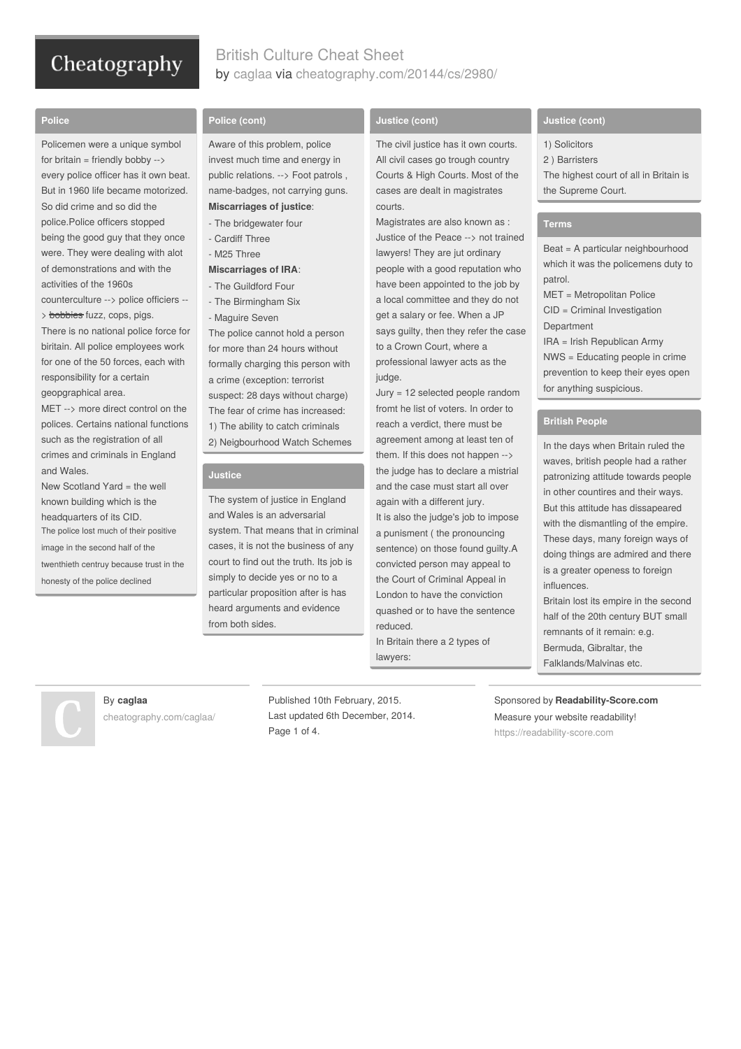# British Culture Cheat Sheet by [caglaa](http://www.cheatography.com/caglaa/) via [cheatography.com/20144/cs/2980/](http://www.cheatography.com/caglaa/cheat-sheets/british-culture)

#### **Police**

Policemen were a unique symbol for britain = friendly bobby  $\rightarrow$ every police officer has it own beat. But in 1960 life became motorized. So did crime and so did the police.Police officers stopped being the good guy that they once were. They were dealing with alot of demonstrations and with the activities of the 1960s counterculture --> police officiers -- > bobbies fuzz, cops, pigs. There is no national police force for biritain. All police employees work

for one of the 50 forces, each with responsibility for a certain geopgraphical area.

MET --> more direct control on the polices. Certains national functions such as the registration of all crimes and criminals in England and Wales.

New Scotland Yard = the well known building which is the headquarters of its CID. The police lost much of their positive image in the second half of the twenthieth centruy because trust in the

honesty of the police declined

#### **Police (cont)**

Aware of this problem, police invest much time and energy in public relations. --> Foot patrols , name-badges, not carrying guns. **Miscarriages of justice**:

- The bridgewater four
- Cardiff Three
- M25 Three

## **Miscarriages of IRA**:

- The Guildford Four
- The Birmingham Six

- Maguire Seven The police cannot hold a person for more than 24 hours without formally charging this person with a crime (exception: terrorist suspect: 28 days without charge) The fear of crime has increased: 1) The ability to catch criminals 2) Neigbourhood Watch Schemes

#### **Justice**

The system of justice in England and Wales is an adversarial system. That means that in criminal cases, it is not the business of any court to find out the truth. Its job is simply to decide yes or no to a particular proposition after is has heard arguments and evidence from both sides.

### **Justice (cont)**

The civil justice has it own courts. All civil cases go trough country Courts & High Courts. Most of the cases are dealt in magistrates courts.

Magistrates are also known as : Justice of the Peace --> not trained lawyers! They are jut ordinary people with a good reputation who have been appointed to the job by a local committee and they do not get a salary or fee. When a JP says guilty, then they refer the case to a Crown Court, where a professional lawyer acts as the judge.

Jury = 12 selected people random fromt he list of voters. In order to reach a verdict, there must be agreement among at least ten of them. If this does not happen --> the judge has to declare a mistrial and the case must start all over again with a different jury.

It is also the judge's job to impose a punisment ( the pronouncing sentence) on those found guilty.A convicted person may appeal to the Court of Criminal Appeal in London to have the conviction quashed or to have the sentence reduced.

In Britain there a 2 types of lawyers:

#### **Justice (cont)**

- 1) Solicitors
- 2 ) Barristers
- The highest court of all in Britain is the Supreme Court.

#### **Terms**

Beat = A particular neighbourhood which it was the policemens duty to patrol. MET = Metropolitan Police

CID = Criminal Investigation

**Department** IRA = Irish Republican Army NWS = Educating people in crime prevention to keep their eyes open for anything suspicious.

#### **British People**

In the days when Britain ruled the waves, british people had a rather patronizing attitude towards people in other countires and their ways. But this attitude has dissapeared with the dismantling of the empire. These days, many foreign ways of doing things are admired and there is a greater openess to foreign influences. Britain lost its empire in the second

half of the 20th century BUT small remnants of it remain: e.g. Bermuda, Gibraltar, the Falklands/Malvinas etc.

By **caglaa**

[cheatography.com/caglaa/](http://www.cheatography.com/caglaa/)

Published 10th February, 2015. Last updated 6th December, 2014. Page 1 of 4.

Sponsored by **Readability-Score.com** Measure your website readability! <https://readability-score.com>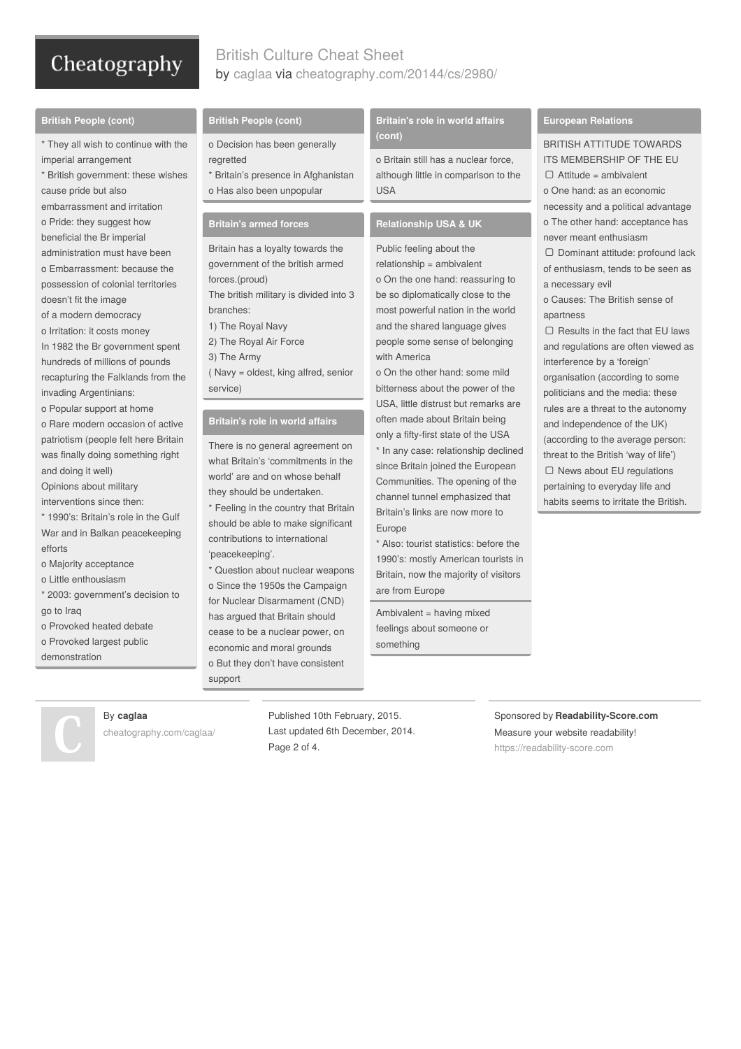# British Culture Cheat Sheet by [caglaa](http://www.cheatography.com/caglaa/) via [cheatography.com/20144/cs/2980/](http://www.cheatography.com/caglaa/cheat-sheets/british-culture)

#### **British People (cont)**

\* They all wish to continue with the imperial arrangement

\* British government: these wishes cause pride but also embarrassment and irritation o Pride: they suggest how beneficial the Br imperial administration must have been o Embarrassment: because the possession of colonial territories doesn't fit the image of a modern democracy o Irritation: it costs money In 1982 the Br government spent hundreds of millions of pounds

recapturing the Falklands from the invading Argentinians:

o Popular support at home

o Rare modern occasion of active patriotism (people felt here Britain was finally doing something right and doing it well)

Opinions about military interventions since then:

\* 1990's: Britain's role in the Gulf

- War and in Balkan peacekeeping efforts
- o Majority acceptance
- o Little enthousiasm
- \* 2003: government's decision to go to Iraq
- o Provoked heated debate
- o Provoked largest public

demonstration

#### **British People (cont)**

- o Decision has been generally regretted
- \* Britain's presence in Afghanistan o Has also been unpopular

### **Britain's armed forces**

Britain has a loyalty towards the government of the british armed forces.(proud) The british military is divided into 3 branches: 1) The Royal Navy 2) The Royal Air Force 3) The Army

( Navy = oldest, king alfred, senior service)

#### **Britain's role in world affairs**

There is no general agreement on what Britain's 'commitments in the world' are and on whose behalf they should be undertaken.

\* Feeling in the country that Britain should be able to make significant contributions to international 'peacekeeping'.

\* Question about nuclear weapons o Since the 1950s the Campaign for Nuclear Disarmament (CND) has argued that Britain should cease to be a nuclear power, on economic and moral grounds o But they don't have consistent support

**Britain's role in world affairs (cont)**

o Britain still has a nuclear force, although little in comparison to the USA

#### **Relationship USA & UK**

Public feeling about the relationship = ambivalent o On the one hand: reassuring to be so diplomatically close to the most powerful nation in the world and the shared language gives people some sense of belonging with America

o On the other hand: some mild bitterness about the power of the USA, little distrust but remarks are often made about Britain being only a fifty-first state of the USA

\* In any case: relationship declined since Britain joined the European Communities. The opening of the channel tunnel emphasized that Britain's links are now more to Europe

\* Also: tourist statistics: before the 1990's: mostly American tourists in Britain, now the majority of visitors are from Europe

Ambivalent = having mixed feelings about someone or something

#### **European Relations**

BRITISH ATTITUDE TOWARDS

ITS MEMBERSHIP OF THE EU Attitude = ambivalent o One hand: as an economic necessity and a political advantage o The other hand: acceptance has never meant enthusiasm

 Dominant attitude: profound lack of enthusiasm, tends to be seen as a necessary evil

o Causes: The British sense of apartness

 $\Box$  Results in the fact that EU laws and regulations are often viewed as interference by a 'foreign'

organisation (according to some politicians and the media: these rules are a threat to the autonomy and independence of the UK) (according to the average person: threat to the British 'way of life')  $\Box$  News about EU regulations pertaining to everyday life and habits seems to irritate the British.

Sponsored by **Readability-Score.com** Measure your website readability! <https://readability-score.com>

By **caglaa** [cheatography.com/caglaa/](http://www.cheatography.com/caglaa/)

Published 10th February, 2015. Last updated 6th December, 2014. Page 2 of 4.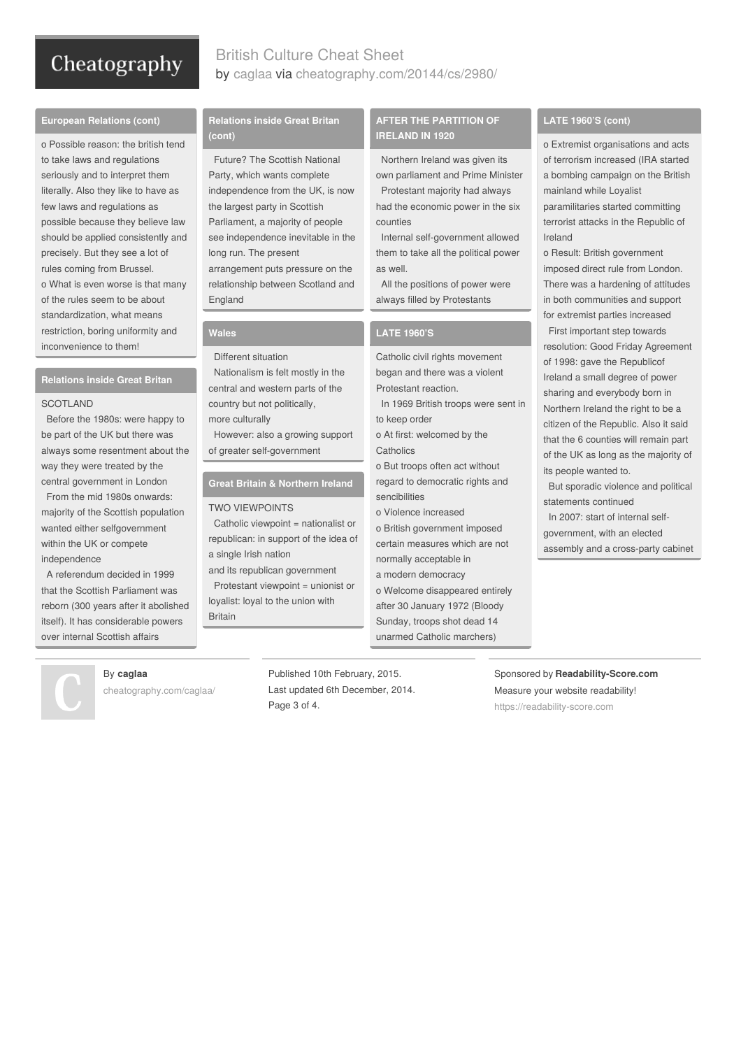# British Culture Cheat Sheet by [caglaa](http://www.cheatography.com/caglaa/) via [cheatography.com/20144/cs/2980/](http://www.cheatography.com/caglaa/cheat-sheets/british-culture)

#### **European Relations (cont)**

o Possible reason: the british tend to take laws and regulations seriously and to interpret them literally. Also they like to have as few laws and regulations as possible because they believe law should be applied consistently and precisely. But they see a lot of rules coming from Brussel. o What is even worse is that many of the rules seem to be about standardization, what means restriction, boring uniformity and inconvenience to them!

#### **Relations inside Great Britan**

#### **SCOTLAND**

Before the 1980s: were happy to be part of the UK but there was always some resentment about the way they were treated by the central government in London

From the mid 1980s onwards: majority of the Scottish population wanted either selfgovernment within the UK or compete independence

A referendum decided in 1999 that the Scottish Parliament was reborn (300 years after it abolished itself). It has considerable powers over internal Scottish affairs

#### **Relations inside Great Britan (cont)**

Future? The Scottish National Party, which wants complete independence from the UK, is now the largest party in Scottish Parliament, a majority of people see independence inevitable in the long run. The present arrangement puts pressure on the relationship between Scotland and England

#### **Wales**

Different situation

Nationalism is felt mostly in the central and western parts of the country but not politically,

more culturally

However: also a growing support of greater self-government

### **Great Britain & Northern Ireland**

#### TWO VIEWPOINTS

Catholic viewpoint = nationalist or republican: in support of the idea of a single Irish nation

and its republican government Protestant viewpoint = unionist or loyalist: loyal to the union with Britain

#### **AFTER THE PARTITION OF IRELAND IN 1920**

Northern Ireland was given its own parliament and Prime Minister Protestant majority had always

had the economic power in the six counties

Internal self-government allowed them to take all the political power as well.

All the positions of power were always filled by Protestants

#### **LATE 1960'S**

Catholic civil rights movement began and there was a violent Protestant reaction.

In 1969 British troops were sent in to keep order

o At first: welcomed by the **Catholics** 

o But troops often act without regard to democratic rights and sencibilities

o Violence increased

o British government imposed certain measures which are not normally acceptable in

a modern democracy

o Welcome disappeared entirely after 30 January 1972 (Bloody Sunday, troops shot dead 14 unarmed Catholic marchers)

#### **LATE 1960'S (cont)**

o Extremist organisations and acts of terrorism increased (IRA started a bombing campaign on the British mainland while Loyalist paramilitaries started committing

terrorist attacks in the Republic of Ireland

o Result: British government imposed direct rule from London. There was a hardening of attitudes in both communities and support for extremist parties increased

First important step towards resolution: Good Friday Agreement of 1998: gave the Republicof Ireland a small degree of power sharing and everybody born in Northern Ireland the right to be a citizen of the Republic. Also it said that the 6 counties will remain part of the UK as long as the majority of its people wanted to.

But sporadic violence and political statements continued

In 2007: start of internal selfgovernment, with an elected assembly and a cross-party cabinet

Sponsored by **Readability-Score.com** Measure your website readability! <https://readability-score.com>

## By **caglaa**

[cheatography.com/caglaa/](http://www.cheatography.com/caglaa/)

Published 10th February, 2015. Last updated 6th December, 2014. Page 3 of 4.